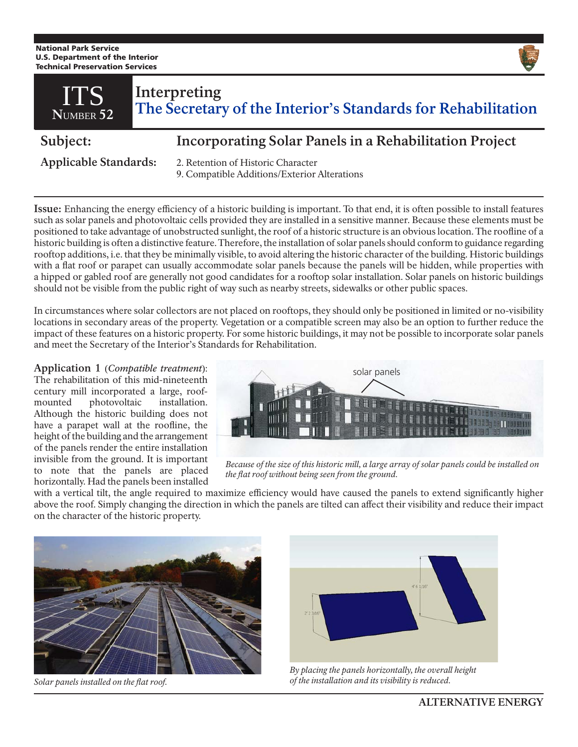National Park Service U.S. Department of the Interior Technical Preservation Services



9. Compatible Additions/Exterior Alterations

**Issue:** Enhancing the energy efficiency of a historic building is important. To that end, it is often possible to install features such as solar panels and photovoltaic cells provided they are installed in a sensitive manner. Because these elements must be positioned to take advantage of unobstructed sunlight, the roof of a historic structure is an obvious location. The roofline of a historic building is often a distinctive feature. Therefore, the installation of solar panels should conform to guidance regarding rooftop additions, i.e. that they be minimally visible, to avoid altering the historic character of the building. Historic buildings with a flat roof or parapet can usually accommodate solar panels because the panels will be hidden, while properties with a hipped or gabled roof are generally not good candidates for a rooftop solar installation. Solar panels on historic buildings should not be visible from the public right of way such as nearby streets, sidewalks or other public spaces.

In circumstances where solar collectors are not placed on rooftops, they should only be positioned in limited or no-visibility locations in secondary areas of the property. Vegetation or a compatible screen may also be an option to further reduce the impact of these features on a historic property. For some historic buildings, it may not be possible to incorporate solar panels and meet the Secretary of the Interior's Standards for Rehabilitation.

## **Application 1** (*Compatible treatment*):

The rehabilitation of this mid-nineteenth century mill incorporated a large, roofmounted photovoltaic installation. Although the historic building does not have a parapet wall at the roofline, the height of the building and the arrangement of the panels render the entire installation invisible from the ground. It is important to note that the panels are placed horizontally. Had the panels been installed



*Because of the size of this historic mill, a large array of solar panels could be installed on the flat roof without being seen from the ground.*

with a vertical tilt, the angle required to maximize efficiency would have caused the panels to extend significantly higher above the roof. Simply changing the direction in which the panels are tilted can affect their visibility and reduce their impact on the character of the historic property.



*Solar panels installed on the flat roof.*



*By placing the panels horizontally, the overall height of the installation and its visibility is reduced.*